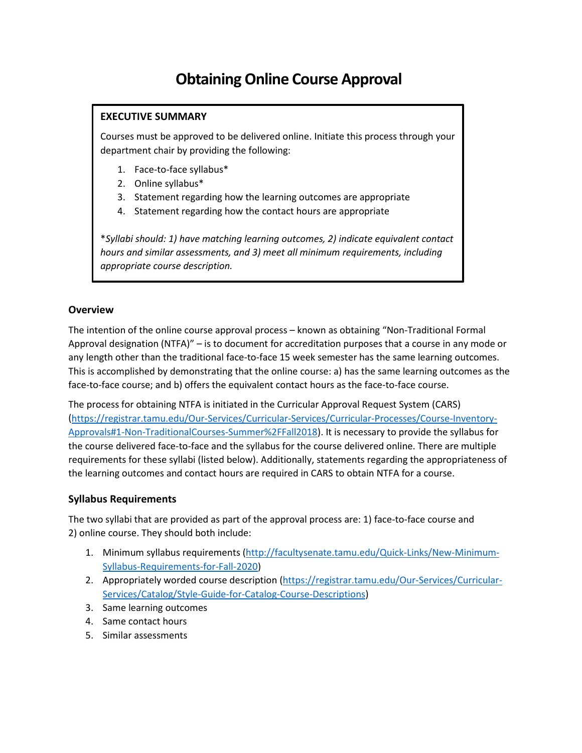# **Obtaining Online Course Approval**

## **EXECUTIVE SUMMARY**

Courses must be approved to be delivered online. Initiate this process through your department chair by providing the following:

- 1. Face-to-face syllabus\*
- 2. Online syllabus\*
- 3. Statement regarding how the learning outcomes are appropriate
- 4. Statement regarding how the contact hours are appropriate

\**Syllabi should: 1) have matching learning outcomes, 2) indicate equivalent contact hours and similar assessments, and 3) meet all minimum requirements, including appropriate course description.*

## **Overview**

The intention of the online course approval process – known as obtaining "Non-Traditional Formal Approval designation (NTFA)" – is to document for accreditation purposes that a course in any mode or any length other than the traditional face-to-face 15 week semester has the same learning outcomes. This is accomplished by demonstrating that the online course: a) has the same learning outcomes as the face-to-face course; and b) offers the equivalent contact hours as the face-to-face course.

The process for obtaining NTFA is initiated in the Curricular Approval Request System (CARS) [\(https://registrar.tamu.edu/Our-Services/Curricular-Services/Curricular-Processes/Course-Inventory-](https://registrar.tamu.edu/Our-Services/Curricular-Services/Curricular-Processes/Course-Inventory-Approvals#1-Non-TraditionalCourses-Summer%2FFall2018)[Approvals#1-Non-TraditionalCourses-Summer%2FFall2018\)](https://registrar.tamu.edu/Our-Services/Curricular-Services/Curricular-Processes/Course-Inventory-Approvals#1-Non-TraditionalCourses-Summer%2FFall2018). It is necessary to provide the syllabus for the course delivered face-to-face and the syllabus for the course delivered online. There are multiple requirements for these syllabi (listed below). Additionally, statements regarding the appropriateness of the learning outcomes and contact hours are required in CARS to obtain NTFA for a course.

## **Syllabus Requirements**

The two syllabi that are provided as part of the approval process are: 1) face-to-face course and 2) online course. They should both include:

- 1. Minimum syllabus requirements [\(http://facultysenate.tamu.edu/Quick-Links/New-Minimum-](http://facultysenate.tamu.edu/Quick-Links/New-Minimum-Syllabus-Requirements-for-Fall-2020)[Syllabus-Requirements-for-Fall-2020\)](http://facultysenate.tamu.edu/Quick-Links/New-Minimum-Syllabus-Requirements-for-Fall-2020)
- 2. Appropriately worded course description [\(https://registrar.tamu.edu/Our-Services/Curricular-](https://registrar.tamu.edu/Our-Services/Curricular-Services/Catalog/Style-Guide-for-Catalog-Course-Descriptions)[Services/Catalog/Style-Guide-for-Catalog-Course-Descriptions\)](https://registrar.tamu.edu/Our-Services/Curricular-Services/Catalog/Style-Guide-for-Catalog-Course-Descriptions)
- 3. Same learning outcomes
- 4. Same contact hours
- 5. Similar assessments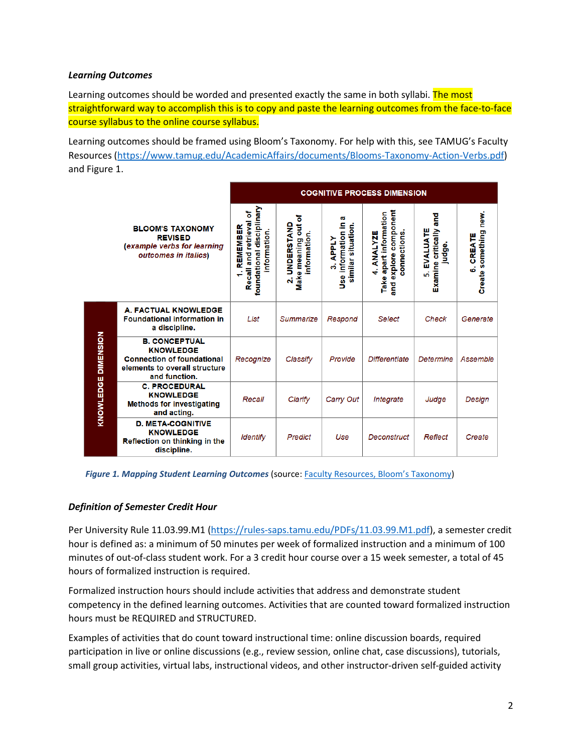#### *Learning Outcomes*

Learning outcomes should be worded and presented exactly the same in both syllabi. The most straightforward way to accomplish this is to copy and paste the learning outcomes from the face-to-face course syllabus to the online course syllabus.

Learning outcomes should be framed using Bloom's Taxonomy. For help with this, see TAMUG's Faculty Resources [\(https://www.tamug.edu/AcademicAffairs/documents/Blooms-Taxonomy-Action-Verbs.pdf\)](https://www.tamug.edu/AcademicAffairs/documents/Blooms-Taxonomy-Action-Verbs.pdf) and Figure 1.

| <b>BLOOM'S TAXONOMY</b><br><b>REVISED</b><br>(example verbs for learning<br>outcomes in italics) |                                                                                                                                 | <b>COGNITIVE PROCESS DIMENSION</b>                                                 |                                                                             |                                                                        |                                                                                           |                                                       |                                         |
|--------------------------------------------------------------------------------------------------|---------------------------------------------------------------------------------------------------------------------------------|------------------------------------------------------------------------------------|-----------------------------------------------------------------------------|------------------------------------------------------------------------|-------------------------------------------------------------------------------------------|-------------------------------------------------------|-----------------------------------------|
|                                                                                                  |                                                                                                                                 | foundational disciplinary<br>৳<br>Recall and retrieval<br>REMEMBER<br>information. | ৳<br>ã<br>UNDERSTAND<br>information.<br>Make meaning<br>$\ddot{\mathbf{v}}$ | w<br>information in<br>similar situation.<br><b>APPLY</b><br>က်<br>မီး | component<br>apart information<br><b>ANALYZE</b><br>connections<br>explore<br>Take<br>and | and<br>EVALUATE<br>Examine critically<br>judge.<br>ស់ | new.<br>Create something<br>CREATE<br>စ |
| <b>DIMENSION</b><br>KNOWLEDGE                                                                    | A. FACTUAL KNOWLEDGE<br><b>Foundational information in</b><br>a discipline.                                                     | List                                                                               | Summarize                                                                   | Respond                                                                | <b>Select</b>                                                                             | Check                                                 | Generate                                |
|                                                                                                  | <b>B. CONCEPTUAL</b><br><b>KNOWLEDGE</b><br><b>Connection of foundational</b><br>elements to overall structure<br>and function. | Recognize                                                                          | Classify                                                                    | Provide                                                                | <b>Differentiate</b>                                                                      | Determine                                             | Assemble                                |
|                                                                                                  | <b>C. PROCEDURAL</b><br><b>KNOWLEDGE</b><br><b>Methods for investigating</b><br>and acting.                                     | Recall                                                                             | Clarify                                                                     | Carry Out                                                              | Integrate                                                                                 | Judge                                                 | Design                                  |
|                                                                                                  | <b>D. META-COGNITIVE</b><br><b>KNOWLEDGE</b><br>Reflection on thinking in the<br>discipline.                                    | <b>Identify</b>                                                                    | Predict                                                                     | Use                                                                    | Deconstruct                                                                               | Reflect                                               | Create                                  |

*Figure 1. Mapping Student Learning Outcomes* (source[: Faculty Resources, Bloom's Taxonomy\)](https://www.tamug.edu/AcademicAffairs/documents/Blooms-Taxonomy-Action-Verbs.pdf)

#### *Definition of Semester Credit Hour*

Per University Rule 11.03.99.M1 [\(https://rules-saps.tamu.edu/PDFs/11.03.99.M1.pdf\)](https://rules-saps.tamu.edu/PDFs/11.03.99.M1.pdf), a semester credit hour is defined as: a minimum of 50 minutes per week of formalized instruction and a minimum of 100 minutes of out-of-class student work. For a 3 credit hour course over a 15 week semester, a total of 45 hours of formalized instruction is required.

Formalized instruction hours should include activities that address and demonstrate student competency in the defined learning outcomes. Activities that are counted toward formalized instruction hours must be REQUIRED and STRUCTURED.

Examples of activities that do count toward instructional time: online discussion boards, required participation in live or online discussions (e.g., review session, online chat, case discussions), tutorials, small group activities, virtual labs, instructional videos, and other instructor-driven self-guided activity